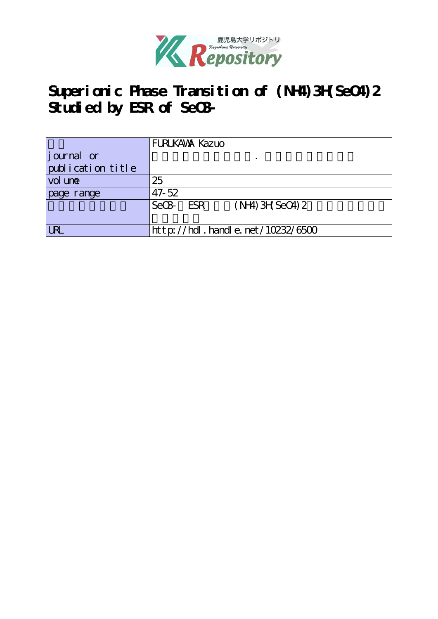

# **Superionic Phase Transition of (NH4)3H(SeO4)2 Studied by ESR of SeO3-**

|                   | <b>FURUKAWA Kazuo</b>                        |  |  |  |  |
|-------------------|----------------------------------------------|--|--|--|--|
| journal or        |                                              |  |  |  |  |
| publication title |                                              |  |  |  |  |
| vol une           | 25                                           |  |  |  |  |
| page range        | $47 - 52$                                    |  |  |  |  |
|                   | $(NH)$ 3H SeO4) 2<br>SeO <sub>2</sub><br>ESR |  |  |  |  |
|                   |                                              |  |  |  |  |
| <b>LRL</b>        | http://hdl.handle.net/10232/6500             |  |  |  |  |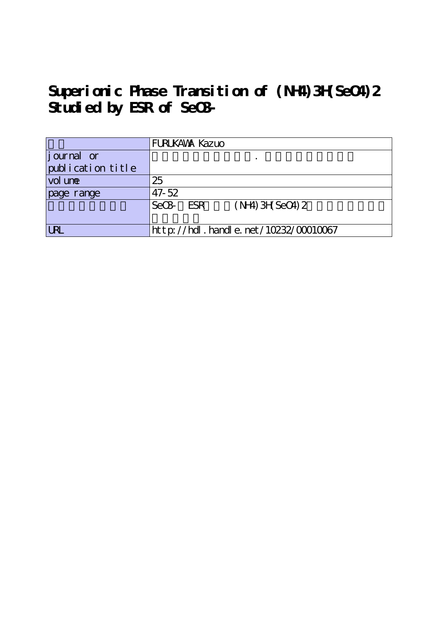# **Superionic Phase Transition of (NH4)3H(SeO4)2 Studied by ESR of SeO3-**

|                   | <b>FURLKAWA Kazuo</b>                        |  |  |  |  |
|-------------------|----------------------------------------------|--|--|--|--|
| journal or        |                                              |  |  |  |  |
| publication title |                                              |  |  |  |  |
| vol une           | 25                                           |  |  |  |  |
| page range        | $47 - 52$                                    |  |  |  |  |
|                   | $(NH)$ 3H SeO4) 2<br>SeO <sub>2</sub><br>ESR |  |  |  |  |
|                   |                                              |  |  |  |  |
| <b>LRL</b>        | $http://hdl. handle. net/10232/00010067$     |  |  |  |  |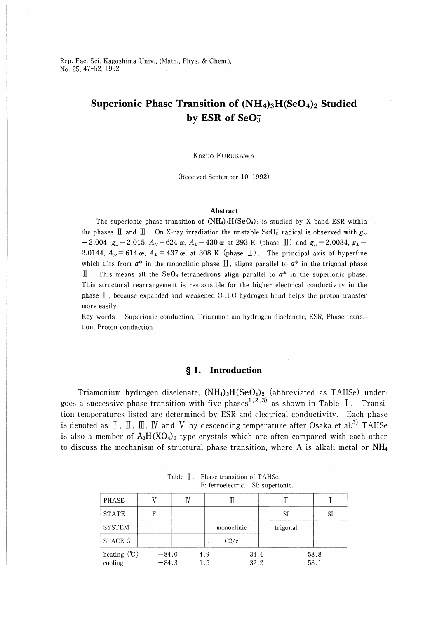Rep. Fac. Sci. Kagoshima Univ., (Math., Phys. & Chem.), No. 25, 47-52, 1992

## Superionic Phase Transition of  $(NH_4)_3H(SeO_4)_2$  Studied by ESR of SeO<sub>3</sub>

#### Kazuo Furukawa

(Received September 10, 1992)

#### Abstract

The superionic phase transition of  $(NH_4)_3H(SeO_4)_2$  is studied by X band ESR within the phases II and III. On X-ray irradiation the unstable  $\text{SeO}_3^-$  radical is observed with  $g_{\ell}$  $=2.004$ ,  $g_{\perp}=2.015$ ,  $A_{\parallel}$  = 624  $\alpha$ ,  $A_{\perp}=430\alpha$  at 293 K (phase III) and  $g_{\parallel}$  = 2.0034,  $g_{\perp}=$ 2.0144,  $A_{\text{II}}$  = 614 œ,  $A_{\text{II}}$  = 437 œ, at 308 K (phase II). The principal axis of hyperfine which tilts from  $a^*$  in the monoclinic phase  $\mathbb{I}$ , aligns parallel to  $a^*$  in the trigonal phase II. This means all the SeO<sub>4</sub> tetrahedrons align parallel to  $a^*$  in the superionic phase. This structural rearrangement is responsible for the higher electrical conductivity in the phase  $\overline{\mathbb{I}}$ , because expanded and weakened O-H-O hydrogen bond helps the proton transfer more easily.

Key words : Superionic conduction, Triammonium hydrogen diselenate, ESR, Phase transition, Proton conduction

#### § 1. Introduction

Triamonium hydrogen diselenate,  $(NH_4)_3H(SeO_4)_2$  (abbreviated as TAHSe) undergoes a successive phase transition with five phases<sup>1,2,3)</sup> as shown in Table  $\overline{I}$ . Transition temperatures listed are determined by ESR and electrical conductivity. Each phase is denoted as  $I$ ,  $II$ ,  $III$ ,  $IV$  and  $V$  by descending temperature after Osaka et al.<sup>3)</sup> TAHSe is also a member of  $A_3H(XO_4)_2$  type crystals which are often compared with each other to discuss the mechanism of structural phase transition, where A is alkali metal or  $NH<sub>4</sub>$ 

| PHASE                    |                    | TV  |            |              |              |
|--------------------------|--------------------|-----|------------|--------------|--------------|
| <b>STATE</b>             | F                  |     |            | SI           | SI           |
| <b>SYSTEM</b>            |                    |     | monoclinic | trigonal     |              |
| SPACE G.                 |                    |     | C2/c       |              |              |
| heating $(C)$<br>cooling | $-84.0$<br>$-84.3$ | 4.9 | 1.5        | 34.4<br>32.2 | 58.8<br>58.1 |

Table I. Phase transition of TAHSe. F: ferroelectric. SI: superionic.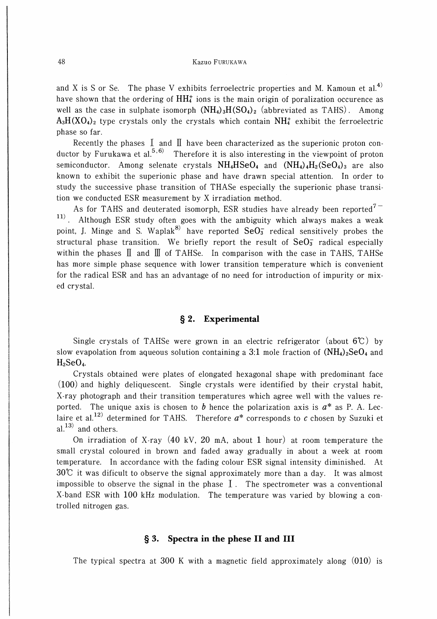and X is S or Se. The phase V exhibits ferroelectric properties and M. Kamoun et al.<sup>4)</sup> have shown that the ordering of  $HH_4^+$  ions is the main origin of poralization occurence as well as the case in sulphate isomorph  $(NH_4)_3H(SO_4)_2$  (abbreviated as TAHS). Among  $A_3H(XO_4)_2$  type crystals only the crystals which contain  $NH_4^+$  exhibit the ferroelectric phase so far.

Recently the phases  $\text{I}$  and  $\text{I}$  have been characterized as the superionic proton conductor by Furukawa et al.<sup>5,6)</sup> Therefore it is also interesting in the viewpoint of proton semiconductor. Among selenate crystals  $NH_4HSeO_4$  and  $(NH_4)_4H_2(SeO_4)_3$  are also known to exhibit the superionic phase and have drawn special attention. In order to study the successive phase transition of THASe especially the superionic phase transition we conducted ESR measurement by X irradiation method.

As for TAHS and deuterated isomorph, ESR studies have already been reported<sup>7-</sup>  $\vert$ <sup>11)</sup>. Although ESR study often goes with the ambiguity which always makes a weak point, J. Minge and S. Waplak<sup>8)</sup> have reported  $\text{SeO}_3^-$  redical sensitively probes the structural phase transition. We briefly report the result of  $\text{SeO}_3^-$  radical especially within the phases  $\mathbb I$  and  $\mathbb I$  of TAHSe. In comparison with the case in TAHS, TAHSe has more simple phase sequence with lower transition temperature which is convenient for the radical ESR and has an advantage of no need for introduction of impurity or mixed crystal.

#### § 2. Experimental

Single crystals of TAHSe were grown in an electric refrigerator (about  $6\degree$ C) by slow evapolation from aqueous solution containing a 3:1 mole fraction of  $(NH_4)_2$ SeO<sub>4</sub> and  $H<sub>2</sub>SeO<sub>4</sub>$ .

Crystals obtained were plates of elongated hexagonal shape with predominant face (100) and highly deliquescent. Single crystals were identified by their crystal habit, X-ray photograph and their transition temperatures which agree well with the values reported. The unique axis is chosen to b hence the polarization axis is  $a^*$  as P. A. Leclaire et al.<sup>12)</sup> determined for TAHS. Therefore  $a^*$  corresponds to c chosen by Suzuki et  $a^{1,13)}$  and others.

On irradiation of X-ray  $(40 \text{ kV}, 20 \text{ mA}, \text{about } 1 \text{ hour})$  at room temperature the small crystal coloured in brown and faded away gradually in about a week at room temperature. In accordance with the fading colour ESR signal intensity diminished. At 30℃ it was dificult to observe the signal approximately more than a day. It was almost impossible to observe the signal in the phase  $I$ . The spectrometer was a conventional X-band ESR with 100 kHz modulation. The temperature was varied by blowing a controlled nitrogen gas.

#### § 3. Spectra in the phese II and III

The typical spectra at 300 K with a magnetic field approximately along  $(010)$  is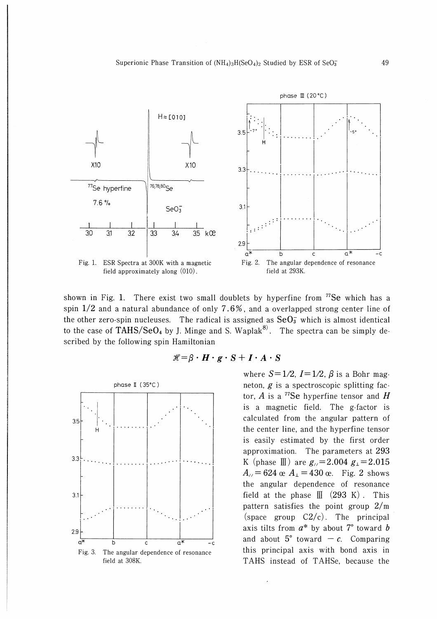

shown in Fig. 1. There exist two small doublets by hyperfine from  $^{77}Se$  which has a spin 1/2 and a natural abundance of only 7.6%, and a overlapped strong center line of the other zero-spin nucleuses. The radical is assigned as  $\text{SeO}_3^-$  which is almost identical to the case of TAHS/SeO<sub>4</sub> by J. Minge and S. Waplak<sup>8)</sup>. The spectra can be simply described by the following spin Hamiltonian



$$
\mathscr{H} = \beta \cdot H \cdot g \cdot S + I \cdot A \cdot S
$$

where  $S=1/2$ ,  $I=1/2$ ,  $\beta$  is a Bohr magneton,  $g$  is a spectroscopic splitting factor, A is a <sup>77</sup>Se hyperfine tensor and H is a magnetic field. The g-factor is calculated from the angular pattern of the center line, and the hyperfine tensor is easily estimated by the first order approximation. The parameters at 293 K (phase  $\mathbb{I}$ ) are  $g_{\ell}$ =2.004  $g_{\perp}$ =2.015  $A_{/}$  = 624 œ  $A_{\perp}$  = 430 œ. Fig. 2 shows the angular dependence of resonance field at the phase  $\llbracket \cdot \rrbracket$  (293 K). This pattern satisfies the point group 2/m (space group  $C2/c$ ). The principal axis tilts from  $a^*$  by about 7° toward *b* and about  $5^{\circ}$  toward - c. Comparing this principal axis with bond axis in TAHS instead of TAHSe, because the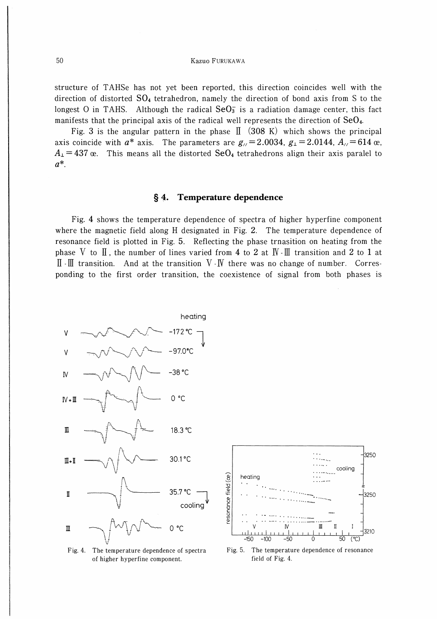structure of TAHSe has not yet been reported, this direction coincides well with the direction of distorted  $SO_4$  tetrahedron, namely the direction of bond axis from S to the longest O in TAHS. Although the radical  $SeO<sub>3</sub>$  is a radiation damage center, this fact manifests that the principal axis of the radical well represents the direction of  $SeO<sub>4</sub>$ .

Fig. 3 is the angular pattern in the phase  $\[ \]$  (308 K) which shows the principal axis coincide with  $a^*$  axis. The parameters are  $g_{\ell} = 2.0034$ ,  $g_{\perp} = 2.0144$ ,  $A_{\ell} = 614$  œ,  $A_1 = 437$  œ. This means all the distorted SeO<sub>4</sub> tetrahedrons align their axis paralel to  $a^*$ .

#### Temperature dependence  $\S 4.$

Fig. 4 shows the temperature dependence of spectra of higher hyperfine component where the magnetic field along H designated in Fig. 2. The temperature dependence of resonance field is plotted in Fig. 5. Reflecting the phase trnasition on heating from the phase V to  $\mathbb I$ , the number of lines varied from 4 to 2 at  $\mathbb I$ .  $\mathbb I$  transition and 2 to 1 at  $\mathbb{I}$  - $\mathbb{I}$  transition. And at the transition V - IV there was no change of number. Corresponding to the first order transition, the coexistence of signal from both phases is



 $\sim$   $\sim$ 3250  $\sim 100$  and  $\sim 100$ cooling esonance field (ce heating 3250  $\overline{m}$  $\overline{1}$ Ī  $43210$  $\overline{C}$ តក  $50$ 

Fig. 4. The temperature dependence of spectra of higher hyperfine component.

Fig. 5. The temperature dependence of resonance field of Fig. 4.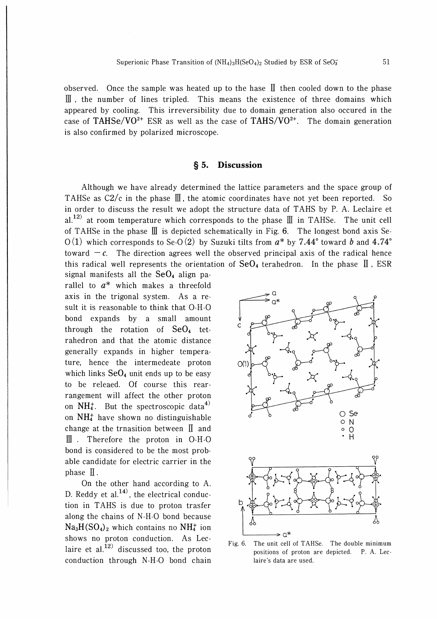observed. Once the sample was heated up to the hase  $\prod$  then cooled down to the phase  $\parallel$ , the number of lines tripled. This means the existence of three domains which appeared by cooling. This irreversibility due to domain generation also occured in the case of TAHSe/VO<sup>2+</sup> ESR as well as the case of TAHS/VO<sup>2+</sup>. The domain generation is also confirmed by polarized microscope.

### § 5. Discussion

Although we have already determined the lattice parameters and the space group of TAHSe as  $C2/c$  in the phase  $\mathbb I$ , the atomic coordinates have not yet been reported. So in order to discuss the result we adopt the structure data of TAHS by P. A. Leclaire et al.<sup>12)</sup> at room temperature which corresponds to the phase  $\mathbb{II}$  in TAHSe. The unit cell of TAHSe in the phase  $\mathbb I$  is depicted schematically in Fig. 6. The longest bond axis Se- $O(1)$  which corresponds to Se- $O(2)$  by Suzuki tilts from  $a^*$  by 7.44° toward  $\bar{b}$  and 4.74° toward  $-c$ . The direction agrees well the observed principal axis of the radical hence this radical well represents the orientation of  $\text{SeO}_4$  terahedron. In the phase  $\text{II}$ , ESR

signal manifests all the  $SeO<sub>4</sub>$  align parallel to  $a^*$  which makes a threefold axis in the trigonal system. As a result it is reasonable to think that O-H-O bond expands by a small amount through the rotation of  $SeO<sub>4</sub>$  tetrahedron and that the atomic distance generally expands in higher temperature, hence the intermedeate proton which links  $\text{SeO}_4$  unit ends up to be easy to be releaed. Of course this rearrangement will affect the other proton on  $NH_4^+$ . But the spectroscopic data<sup>4)</sup> on  $NH_4^+$  have shown no distinguishable change at the trnasition between  $\mathbb{I}$  and  $\mathbb{I}$ . Therefore the proton in O-H-O bond is considered to be the most probable candidate for electric carrier in the  $phase$   $II$ .

On the other hand according to A. D. Reddy et al. $^{14)}$ , the electrical conduction in TAHS is due to proton trasfer along the chains of N-H-O bond because  $Na<sub>3</sub>H(SO<sub>4</sub>)<sub>2</sub>$  which contains no NH<sub>4</sub><sup>+</sup> ion shows no proton conduction. As Leclaire et al.<sup>12)</sup> discussed too, the proton conduction through N-H-O bond chain



Fig. 6. The unit cell of TAHSe. The double minimum positions of proton are depicted. P. A. Leelaire's data are used.